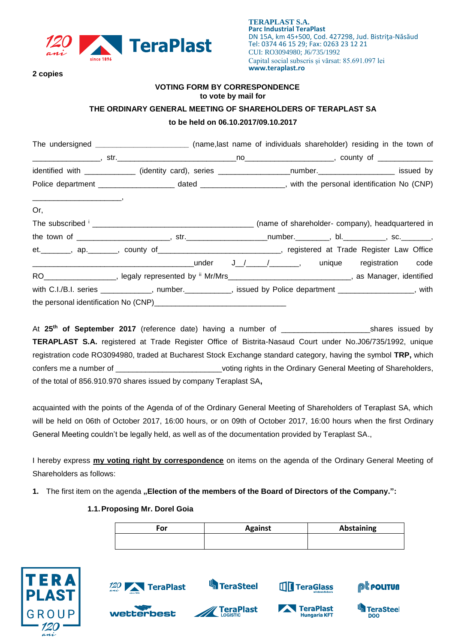

**2 copies**

### **VOTING FORM BY CORRESPONDENCE to vote by mail for**

# **THE ORDINARY GENERAL MEETING OF SHAREHOLDERS OF TERAPLAST SA to be held on 06.10.2017/09.10.2017**

|     | The undersigned _________________________(name,last name of individuals shareholder) residing in the town of      |  |  |
|-----|-------------------------------------------------------------------------------------------------------------------|--|--|
|     |                                                                                                                   |  |  |
|     | identified with _____________ (identity card), series ____________________number.______________________ issued by |  |  |
|     |                                                                                                                   |  |  |
| Or, |                                                                                                                   |  |  |
|     |                                                                                                                   |  |  |
|     |                                                                                                                   |  |  |
|     | et. ________, ap. _______, county of ______________________________, registered at Trade Register Law Office      |  |  |
|     |                                                                                                                   |  |  |
|     | RO___________________, legaly represented by " Mr/Mrs_____________________________, as Manager, identified        |  |  |
|     | with C.I./B.I. series ____________, number.__________, issued by Police department ________________, with         |  |  |
|     |                                                                                                                   |  |  |

At **25 th of September 2017** (reference date) having a number of \_\_\_\_\_\_\_\_\_\_\_\_\_\_\_\_\_\_\_\_\_shares issued by **TERAPLAST S.A.** registered at Trade Register Office of Bistrita-Nasaud Court under No.J06/735/1992, unique registration code RO3094980, traded at Bucharest Stock Exchange standard category, having the symbol **TRP,** which confers me a number of \_\_\_\_\_\_\_\_\_\_\_\_\_\_\_\_\_\_\_\_\_\_\_\_\_\_\_\_voting rights in the Ordinary General Meeting of Shareholders, of the total of 856.910.970 shares issued by company Teraplast SA**,**

acquainted with the points of the Agenda of of the Ordinary General Meeting of Shareholders of Teraplast SA, which will be held on 06th of October 2017, 16:00 hours, or on 09th of October 2017, 16:00 hours when the first Ordinary General Meeting couldn't be legally held, as well as of the documentation provided by Teraplast SA.,

I hereby express **my voting right by correspondence** on items on the agenda of the Ordinary General Meeting of Shareholders as follows:

1. The first item on the agenda "Election of the members of the Board of Directors of the Company.":

# **1.1.Proposing Mr. Dorel Goia**

| For | <b>Against</b> | <b>Abstaining</b> |
|-----|----------------|-------------------|
|     |                |                   |



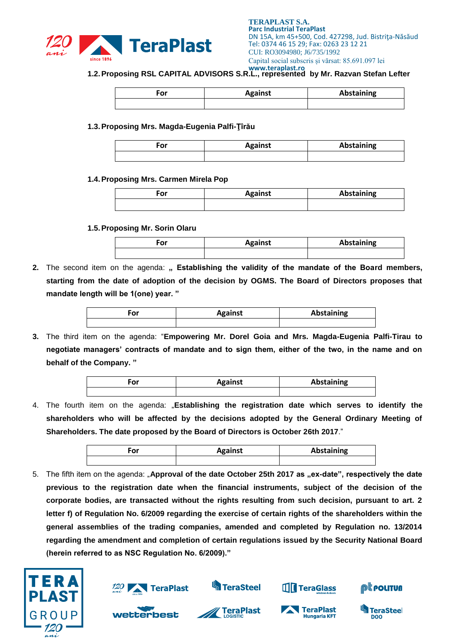

**1.2.Proposing RSL CAPITAL ADVISORS S.R.L., represented by Mr. Razvan Stefan Lefter**

| For | <b>Against</b> | Abstaining |
|-----|----------------|------------|
|     |                |            |

**1.3.Proposing Mrs. Magda-Eugenia Palfi-Ţîrău**

| ™or | <b>Against</b> | Abstaining |
|-----|----------------|------------|
|     |                |            |

#### **1.4.Proposing Mrs. Carmen Mirela Pop**

| ∙or | <b>Against</b> | Abstaining |
|-----|----------------|------------|
|     |                |            |

**1.5.Proposing Mr. Sorin Olaru**

| For | <b>Against</b> | Abstaining |
|-----|----------------|------------|
|     |                |            |

**2.** The second item on the agenda: **" Establishing the validity of the mandate of the Board members, starting from the date of adoption of the decision by OGMS. The Board of Directors proposes that mandate length will be 1(one) year. "**

| ۰or | <b>Against</b> | Abstaining |
|-----|----------------|------------|
|     |                |            |

**3.** The third item on the agenda: "**Empowering Mr. Dorel Goia and Mrs. Magda-Eugenia Palfi-Tirau to negotiate managers' contracts of mandate and to sign them, either of the two, in the name and on behalf of the Company. "**

| . | <b>Against</b> | <b>Abstaining</b> |
|---|----------------|-------------------|
|   |                |                   |

4. The fourth item on the agenda: "**Establishing the registration date which serves to identify the shareholders who will be affected by the decisions adopted by the General Ordinary Meeting of Shareholders. The date proposed by the Board of Directors is October 26th 2017**."

| ∙or | <b>Against</b> | Abstaining |
|-----|----------------|------------|
|     |                |            |

5. The fifth item on the agenda: "Approval of the date October 25th 2017 as "ex-date", respectively the date **previous to the registration date when the financial instruments, subject of the decision of the corporate bodies, are transacted without the rights resulting from such decision, pursuant to art. 2 letter f) of Regulation No. 6/2009 regarding the exercise of certain rights of the shareholders within the general assemblies of the trading companies, amended and completed by Regulation no. 13/2014 regarding the amendment and completion of certain regulations issued by the Security National Board (herein referred to as NSC Regulation No. 6/2009)."**